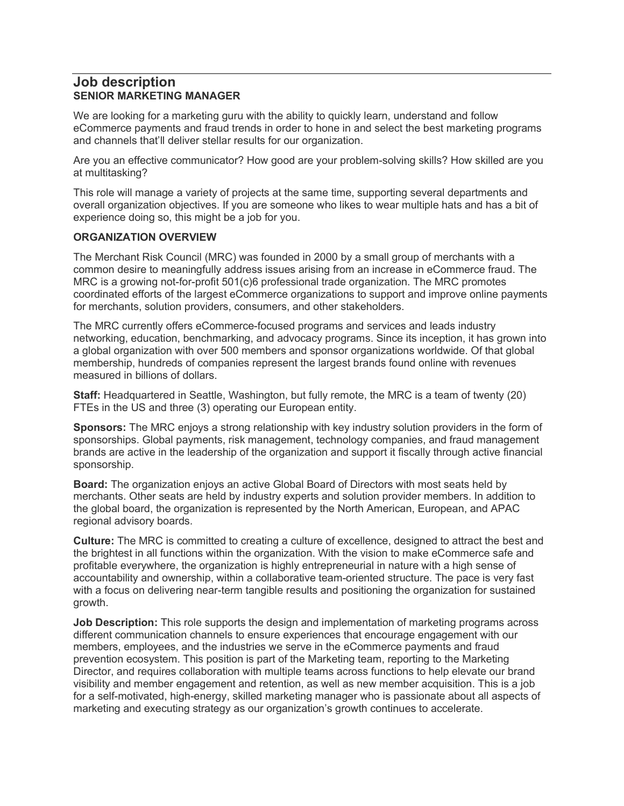### Job description SENIOR MARKETING MANAGER

We are looking for a marketing guru with the ability to quickly learn, understand and follow eCommerce payments and fraud trends in order to hone in and select the best marketing programs and channels that'll deliver stellar results for our organization.

Are you an effective communicator? How good are your problem-solving skills? How skilled are you at multitasking?

This role will manage a variety of projects at the same time, supporting several departments and overall organization objectives. If you are someone who likes to wear multiple hats and has a bit of experience doing so, this might be a job for you.

#### ORGANIZATION OVERVIEW

The Merchant Risk Council (MRC) was founded in 2000 by a small group of merchants with a common desire to meaningfully address issues arising from an increase in eCommerce fraud. The MRC is a growing not-for-profit 501(c)6 professional trade organization. The MRC promotes coordinated efforts of the largest eCommerce organizations to support and improve online payments for merchants, solution providers, consumers, and other stakeholders.

The MRC currently offers eCommerce-focused programs and services and leads industry networking, education, benchmarking, and advocacy programs. Since its inception, it has grown into a global organization with over 500 members and sponsor organizations worldwide. Of that global membership, hundreds of companies represent the largest brands found online with revenues measured in billions of dollars.

Staff: Headquartered in Seattle, Washington, but fully remote, the MRC is a team of twenty (20) FTEs in the US and three (3) operating our European entity.

Sponsors: The MRC enjoys a strong relationship with key industry solution providers in the form of sponsorships. Global payments, risk management, technology companies, and fraud management brands are active in the leadership of the organization and support it fiscally through active financial sponsorship.

Board: The organization enjoys an active Global Board of Directors with most seats held by merchants. Other seats are held by industry experts and solution provider members. In addition to the global board, the organization is represented by the North American, European, and APAC regional advisory boards.

Culture: The MRC is committed to creating a culture of excellence, designed to attract the best and the brightest in all functions within the organization. With the vision to make eCommerce safe and profitable everywhere, the organization is highly entrepreneurial in nature with a high sense of accountability and ownership, within a collaborative team-oriented structure. The pace is very fast with a focus on delivering near-term tangible results and positioning the organization for sustained growth.

**Job Description:** This role supports the design and implementation of marketing programs across different communication channels to ensure experiences that encourage engagement with our members, employees, and the industries we serve in the eCommerce payments and fraud prevention ecosystem. This position is part of the Marketing team, reporting to the Marketing Director, and requires collaboration with multiple teams across functions to help elevate our brand visibility and member engagement and retention, as well as new member acquisition. This is a job for a self-motivated, high-energy, skilled marketing manager who is passionate about all aspects of marketing and executing strategy as our organization's growth continues to accelerate.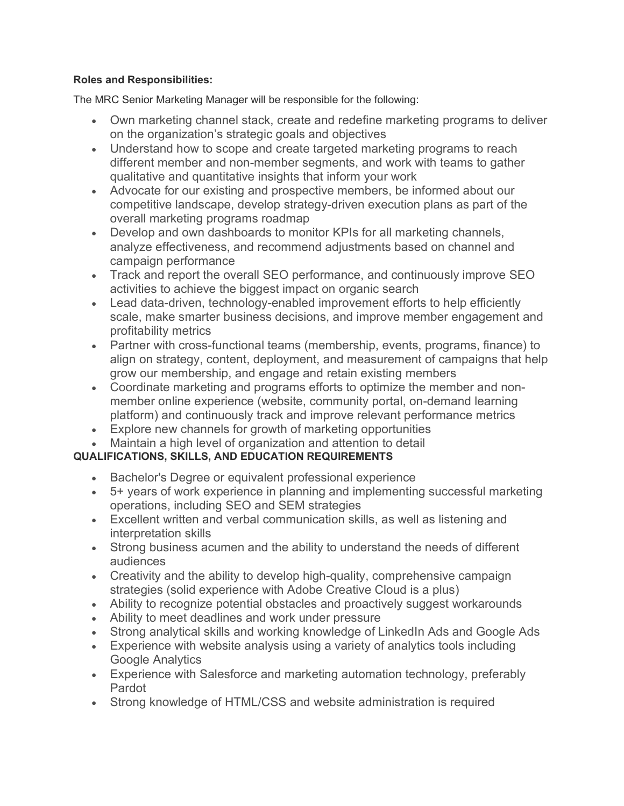#### Roles and Responsibilities:

The MRC Senior Marketing Manager will be responsible for the following:

- Own marketing channel stack, create and redefine marketing programs to deliver on the organization's strategic goals and objectives
- Understand how to scope and create targeted marketing programs to reach different member and non-member segments, and work with teams to gather qualitative and quantitative insights that inform your work
- Advocate for our existing and prospective members, be informed about our competitive landscape, develop strategy-driven execution plans as part of the overall marketing programs roadmap
- Develop and own dashboards to monitor KPIs for all marketing channels, analyze effectiveness, and recommend adjustments based on channel and campaign performance
- Track and report the overall SEO performance, and continuously improve SEO activities to achieve the biggest impact on organic search
- Lead data-driven, technology-enabled improvement efforts to help efficiently scale, make smarter business decisions, and improve member engagement and profitability metrics
- Partner with cross-functional teams (membership, events, programs, finance) to align on strategy, content, deployment, and measurement of campaigns that help grow our membership, and engage and retain existing members
- Coordinate marketing and programs efforts to optimize the member and nonmember online experience (website, community portal, on-demand learning platform) and continuously track and improve relevant performance metrics
- Explore new channels for growth of marketing opportunities
- Maintain a high level of organization and attention to detail

# QUALIFICATIONS, SKILLS, AND EDUCATION REQUIREMENTS

- Bachelor's Degree or equivalent professional experience
- 5+ years of work experience in planning and implementing successful marketing operations, including SEO and SEM strategies
- Excellent written and verbal communication skills, as well as listening and interpretation skills
- Strong business acumen and the ability to understand the needs of different audiences
- Creativity and the ability to develop high-quality, comprehensive campaign strategies (solid experience with Adobe Creative Cloud is a plus)
- Ability to recognize potential obstacles and proactively suggest workarounds
- Ability to meet deadlines and work under pressure
- Strong analytical skills and working knowledge of LinkedIn Ads and Google Ads
- Experience with website analysis using a variety of analytics tools including Google Analytics
- Experience with Salesforce and marketing automation technology, preferably Pardot
- Strong knowledge of HTML/CSS and website administration is required